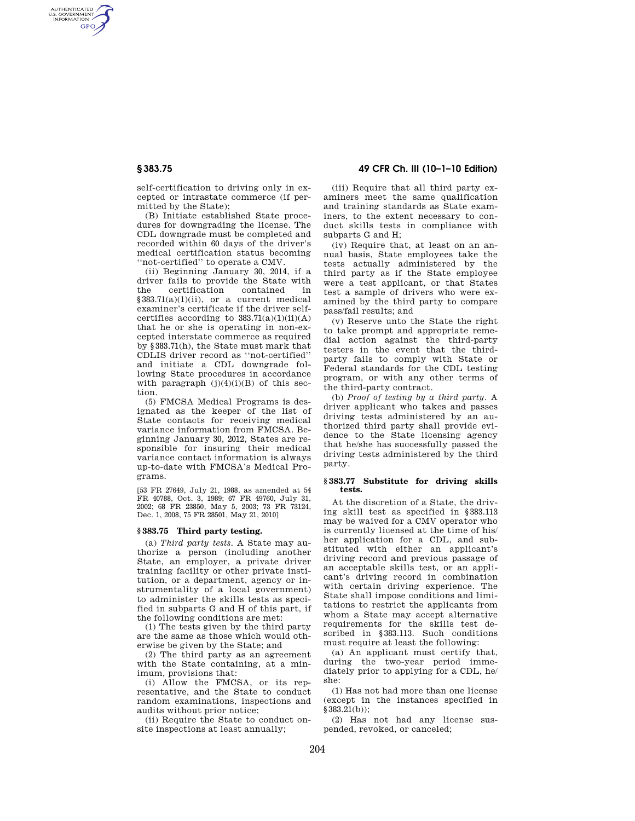AUTHENTICATED<br>U.S. GOVERNMENT<br>INFORMATION **GPO** 

> self-certification to driving only in excepted or intrastate commerce (if permitted by the State);

> (B) Initiate established State procedures for downgrading the license. The CDL downgrade must be completed and recorded within 60 days of the driver's medical certification status becoming ''not-certified'' to operate a CMV.

> (ii) Beginning January 30, 2014, if a driver fails to provide the State with the certification contained in §383.71(a)(1)(ii), or a current medical examiner's certificate if the driver selfcertifies according to  $383.71(a)(1)(ii)(A)$ that he or she is operating in non-excepted interstate commerce as required by §383.71(h), the State must mark that CDLIS driver record as ''not-certified'' and initiate a CDL downgrade following State procedures in accordance with paragraph  $(j)(4)(i)(B)$  of this section.

> (5) FMCSA Medical Programs is designated as the keeper of the list of State contacts for receiving medical variance information from FMCSA. Beginning January 30, 2012, States are responsible for insuring their medical variance contact information is always up-to-date with FMCSA's Medical Programs.

> [53 FR 27649, July 21, 1988, as amended at 54 FR 40788, Oct. 3, 1989; 67 FR 49760, July 31, 2002; 68 FR 23850, May 5, 2003; 73 FR 73124, Dec. 1, 2008, 75 FR 28501, May 21, 2010]

## **§ 383.75 Third party testing.**

(a) *Third party tests.* A State may authorize a person (including another State, an employer, a private driver training facility or other private institution, or a department, agency or instrumentality of a local government) to administer the skills tests as specified in subparts G and H of this part, if the following conditions are met:

(1) The tests given by the third party are the same as those which would otherwise be given by the State; and

(2) The third party as an agreement with the State containing, at a minimum, provisions that:

(i) Allow the FMCSA, or its representative, and the State to conduct random examinations, inspections and audits without prior notice;

(ii) Require the State to conduct onsite inspections at least annually;

# **§ 383.75 49 CFR Ch. III (10–1–10 Edition)**

(iii) Require that all third party examiners meet the same qualification and training standards as State examiners, to the extent necessary to conduct skills tests in compliance with subparts G and H;

(iv) Require that, at least on an annual basis, State employees take the tests actually administered by the third party as if the State employee were a test applicant, or that States test a sample of drivers who were examined by the third party to compare pass/fail results; and

(v) Reserve unto the State the right to take prompt and appropriate remedial action against the third-party testers in the event that the thirdparty fails to comply with State or Federal standards for the CDL testing program, or with any other terms of the third-party contract.

(b) *Proof of testing by a third party.* A driver applicant who takes and passes driving tests administered by an authorized third party shall provide evidence to the State licensing agency that he/she has successfully passed the driving tests administered by the third party.

#### **§ 383.77 Substitute for driving skills tests.**

At the discretion of a State, the driving skill test as specified in §383.113 may be waived for a CMV operator who is currently licensed at the time of his/ her application for a CDL, and substituted with either an applicant's driving record and previous passage of an acceptable skills test, or an applicant's driving record in combination with certain driving experience. The State shall impose conditions and limitations to restrict the applicants from whom a State may accept alternative requirements for the skills test described in §383.113. Such conditions must require at least the following:

(a) An applicant must certify that, during the two-year period immediately prior to applying for a CDL, he/ she:

(1) Has not had more than one license (except in the instances specified in §383.21(b));

(2) Has not had any license suspended, revoked, or canceled;